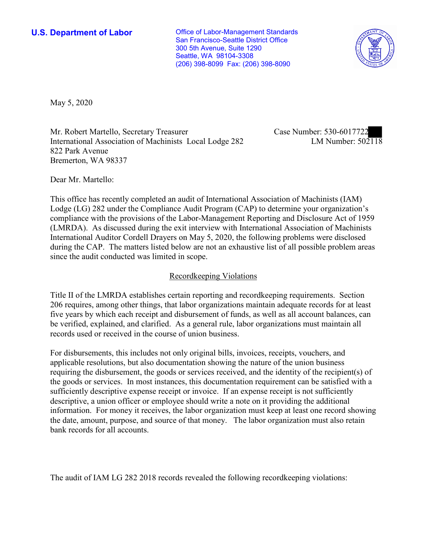**U.S. Department of Labor Conservative Conservative Conservative Conservative U.S.** Department of Labor San Francisco-Seattle District Office 300 5th Avenue, Suite 1290 Seattle, WA 98104-3308 (206) 398-8099 Fax: (206) 398-8090



May 5, 2020

Mr. Robert Martello, Secretary Treasurer International Association of Machinists Local Lodge 282 822 Park Avenue Bremerton, WA 98337

Case Number: 530-6017722 LM Number: 502118

Dear Mr. Martello:

This office has recently completed an audit of International Association of Machinists (IAM) Lodge (LG) 282 under the Compliance Audit Program (CAP) to determine your organization's compliance with the provisions of the Labor-Management Reporting and Disclosure Act of 1959 (LMRDA). As discussed during the exit interview with International Association of Machinists International Auditor Cordell Drayers on May 5, 2020, the following problems were disclosed during the CAP. The matters listed below are not an exhaustive list of all possible problem areas since the audit conducted was limited in scope.

### Recordkeeping Violations

Title II of the LMRDA establishes certain reporting and recordkeeping requirements. Section 206 requires, among other things, that labor organizations maintain adequate records for at least five years by which each receipt and disbursement of funds, as well as all account balances, can be verified, explained, and clarified. As a general rule, labor organizations must maintain all records used or received in the course of union business.

For disbursements, this includes not only original bills, invoices, receipts, vouchers, and applicable resolutions, but also documentation showing the nature of the union business requiring the disbursement, the goods or services received, and the identity of the recipient(s) of the goods or services. In most instances, this documentation requirement can be satisfied with a sufficiently descriptive expense receipt or invoice. If an expense receipt is not sufficiently descriptive, a union officer or employee should write a note on it providing the additional information. For money it receives, the labor organization must keep at least one record showing the date, amount, purpose, and source of that money. The labor organization must also retain bank records for all accounts.

The audit of IAM LG 282 2018 records revealed the following recordkeeping violations: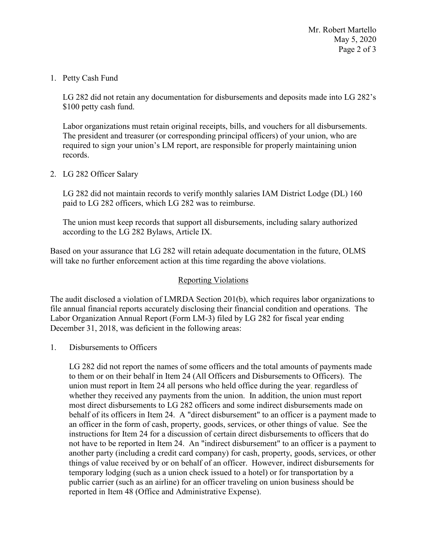Mr. Robert Martello May 5, 2020 Page 2 of 3

### 1. Petty Cash Fund

LG 282 did not retain any documentation for disbursements and deposits made into LG 282's \$100 petty cash fund.

Labor organizations must retain original receipts, bills, and vouchers for all disbursements. The president and treasurer (or corresponding principal officers) of your union, who are required to sign your union's LM report, are responsible for properly maintaining union records.

## 2. LG 282 Officer Salary

LG 282 did not maintain records to verify monthly salaries IAM District Lodge (DL) 160 paid to LG 282 officers, which LG 282 was to reimburse.

The union must keep records that support all disbursements, including salary authorized according to the LG 282 Bylaws, Article IX.

Based on your assurance that LG 282 will retain adequate documentation in the future, OLMS will take no further enforcement action at this time regarding the above violations.

# Reporting Violations

The audit disclosed a violation of LMRDA Section 201(b), which requires labor organizations to file annual financial reports accurately disclosing their financial condition and operations. The Labor Organization Annual Report (Form LM-3) filed by LG 282 for fiscal year ending December 31, 2018, was deficient in the following areas:

### 1. Disbursements to Officers

LG 282 did not report the names of some officers and the total amounts of payments made to them or on their behalf in Item 24 (All Officers and Disbursements to Officers). The union must report in Item 24 all persons who held office during the year, regardless of whether they received any payments from the union. In addition, the union must report most direct disbursements to LG 282 officers and some indirect disbursements made on behalf of its officers in Item 24. A "direct disbursement" to an officer is a payment made to an officer in the form of cash, property, goods, services, or other things of value. See the instructions for Item 24 for a discussion of certain direct disbursements to officers that do not have to be reported in Item 24. An "indirect disbursement" to an officer is a payment to another party (including a credit card company) for cash, property, goods, services, or other things of value received by or on behalf of an officer. However, indirect disbursements for temporary lodging (such as a union check issued to a hotel) or for transportation by a public carrier (such as an airline) for an officer traveling on union business should be reported in Item 48 (Office and Administrative Expense).